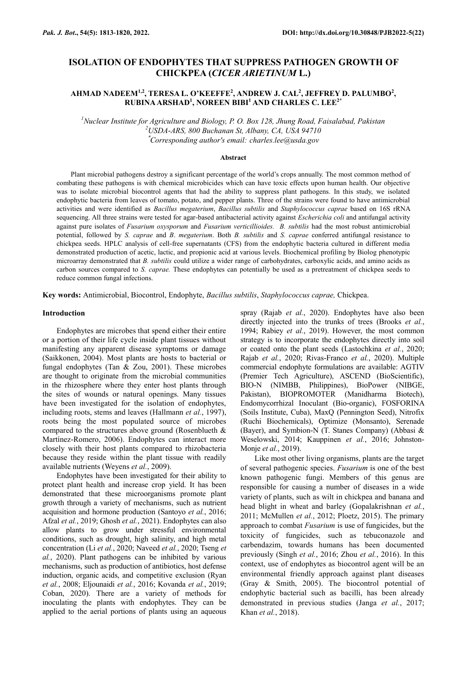# **ISOLATION OF ENDOPHYTES THAT SUPPRESS PATHOGEN GROWTH OF CHICKPEA (***CICER ARIETINUM* **L.)**

## **AHMAD NADEEM1,2, TERESA L. O'KEEFFE<sup>2</sup> , ANDREW J. CAL<sup>2</sup> , JEFFREY D. PALUMBO<sup>2</sup> , RUBINA ARSHAD<sup>1</sup> , NOREEN BIBI<sup>1</sup> AND CHARLES C. LEE2\***

*<sup>1</sup>Nuclear Institute for Agriculture and Biology, P. O. Box 128, Jhung Road, Faisalabad, Pakistan <sup>2</sup>USDA-ARS, 800 Buchanan St, Albany, CA, USA 94710* \**Corresponding author's email: charles.lee@usda.gov*

#### **Abstract**

Plant microbial pathogens destroy a significant percentage of the world's crops annually. The most common method of combating these pathogens is with chemical microbicides which can have toxic effects upon human health. Our objective was to isolate microbial biocontrol agents that had the ability to suppress plant pathogens. In this study, we isolated endophytic bacteria from leaves of tomato, potato, and pepper plants. Three of the strains were found to have antimicrobial activities and were identified as *Bacillus megaterium*, *Bacillus subtilis* and *Staphylococcus caprae* based on 16S rRNA sequencing. All three strains were tested for agar-based antibacterial activity against *Escherichia coli* and antifungal activity against pure isolates of *Fusarium oxysporum* and *Fusarium verticillioides. B. subtilis* had the most robust antimicrobial potential, followed by *S. caprae* and *B*. *megaterium*. Both *B. subtilis* and *S. caprae* conferred antifungal resistance to chickpea seeds. HPLC analysis of cell-free supernatants (CFS) from the endophytic bacteria cultured in different media demonstrated production of acetic, lactic, and propionic acid at various levels. Biochemical profiling by Biolog phenotypic microarray demonstrated that *B. subtilis* could utilize a wider range of carbohydrates, carboxylic acids, and amino acids as carbon sources compared to *S. caprae.* These endophytes can potentially be used as a pretreatment of chickpea seeds to reduce common fungal infections.

**Key words:** Antimicrobial, Biocontrol, Endophyte, *Bacillus subtilis*, *Staphylococcus caprae,* Chickpea.

#### **Introduction**

Endophytes are microbes that spend either their entire or a portion of their life cycle inside plant tissues without manifesting any apparent disease symptoms or damage (Saikkonen, 2004). Most plants are hosts to bacterial or fungal endophytes (Tan & Zou, 2001). These microbes are thought to originate from the microbial communities in the rhizosphere where they enter host plants through the sites of wounds or natural openings. Many tissues have been investigated for the isolation of endophytes, including roots, stems and leaves (Hallmann *et al.*, 1997), roots being the most populated source of microbes compared to the structures above ground (Rosenblueth & Martínez-Romero, 2006). Endophytes can interact more closely with their host plants compared to rhizobacteria because they reside within the plant tissue with readily available nutrients (Weyens *et al.*, 2009).

Endophytes have been investigated for their ability to protect plant health and increase crop yield. It has been demonstrated that these microorganisms promote plant growth through a variety of mechanisms, such as nutrient acquisition and hormone production (Santoyo *et al.*, 2016; Afzal *et al.*, 2019; Ghosh *et al.*, 2021). Endophytes can also allow plants to grow under stressful environmental conditions, such as drought, high salinity, and high metal concentration (Li *et al.*, 2020; Naveed *et al.*, 2020; Tseng *et al.*, 2020). Plant pathogens can be inhibited by various mechanisms, such as production of antibiotics, host defense induction, organic acids, and competitive exclusion (Ryan *et al.*, 2008; Eljounaidi *et al.*, 2016; Kovanda *et al.*, 2019; Coban, 2020). There are a variety of methods for inoculating the plants with endophytes. They can be applied to the aerial portions of plants using an aqueous spray (Rajab *et al.*, 2020). Endophytes have also been directly injected into the trunks of trees (Brooks *et al.*, 1994; Rabiey *et al.*, 2019). However, the most common strategy is to incorporate the endophytes directly into soil or coated onto the plant seeds (Lastochkina *et al.*, 2020; Rajab *et al.*, 2020; Rivas-Franco *et al.*, 2020). Multiple commercial endophyte formulations are available: AGTIV (Premier Tech Agriculture), ASCEND (BioScientific), BIO-N (NIMBB, Philippines), BioPower (NIBGE, Pakistan), BIOPROMOTER (Manidharma Biotech), Endomycorrhizal Inoculant (Bio-organic), FOSFORINA (Soils Institute, Cuba), MaxQ (Pennington Seed), Nitrofix (Ruchi Biochemicals), Optimize (Monsanto), Serenade (Bayer), and Symbion-N (T. Stanes Company) (Abbasi & Weselowski, 2014; Kauppinen *et al.*, 2016; Johnston-Monje *et al.*, 2019).

Like most other living organisms, plants are the target of several pathogenic species. *Fusarium* is one of the best known pathogenic fungi. Members of this genus are responsible for causing a number of diseases in a wide variety of plants, such as wilt in chickpea and banana and head blight in wheat and barley (Gopalakrishnan *et al.*, 2011; McMullen *et al.*, 2012; Ploetz, 2015). The primary approach to combat *Fusarium* is use of fungicides, but the toxicity of fungicides, such as tebuconazole and carbendazim, towards humans has been documented previously (Singh *et al.*, 2016; Zhou *et al.*, 2016). In this context, use of endophytes as biocontrol agent will be an environmental friendly approach against plant diseases (Gray & Smith, 2005). The biocontrol potential of endophytic bacterial such as bacilli, has been already demonstrated in previous studies (Janga *et al.*, 2017; Khan *et al.*, 2018).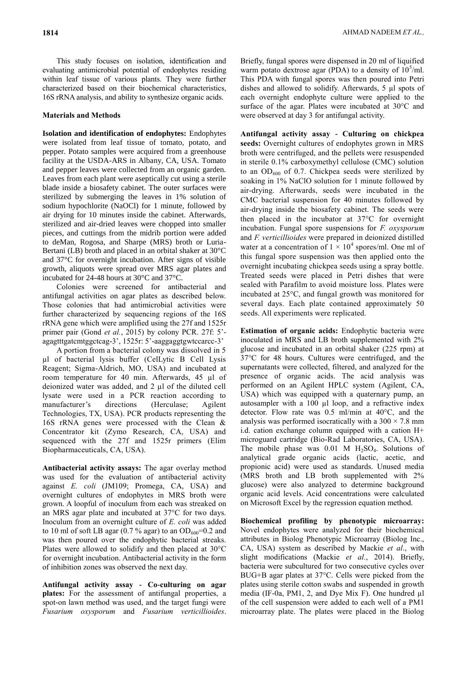This study focuses on isolation, identification and evaluating antimicrobial potential of endophytes residing within leaf tissue of various plants. They were further characterized based on their biochemical characteristics, 16S rRNA analysis, and ability to synthesize organic acids.

## **Materials and Methods**

**Isolation and identification of endophytes:** Endophytes were isolated from leaf tissue of tomato, potato, and pepper. Potato samples were acquired from a greenhouse facility at the USDA-ARS in Albany, CA, USA. Tomato and pepper leaves were collected from an organic garden. Leaves from each plant were aseptically cut using a sterile blade inside a biosafety cabinet. The outer surfaces were sterilized by submerging the leaves in 1% solution of sodium hypochlorite (NaOCl) for 1 minute, followed by air drying for 10 minutes inside the cabinet. Afterwards, sterilized and air-dried leaves were chopped into smaller pieces, and cuttings from the midrib portion were added to deMan, Rogosa, and Sharpe (MRS) broth or Luria-Bertani (LB) broth and placed in an orbital shaker at 30°C and 37°C for overnight incubation. After signs of visible growth, aliquots were spread over MRS agar plates and incubated for 24-48 hours at 30°C and 37°C.

Colonies were screened for antibacterial and antifungal activities on agar plates as described below. Those colonies that had antimicrobial activities were further characterized by sequencing regions of the 16S rRNA gene which were amplified using the 27f and 1525r primer pair (Gond *et al.*, 2015) by colony PCR. 27f: 5' agagtttgatcmtggctcag-3', 1525r: 5'-aaggaggtgwtccarcc-3'

A portion from a bacterial colony was dissolved in 5 µl of bacterial lysis buffer (CelLytic B Cell Lysis Reagent; Sigma-Aldrich, MO, USA) and incubated at room temperature for 40 min. Afterwards, 45 µl of deionized water was added, and 2 µl of the diluted cell lysate were used in a PCR reaction according to manufacturer's directions (Herculase; Agilent Technologies, TX, USA). PCR products representing the 16S rRNA genes were processed with the Clean & Concentrator kit (Zymo Research, CA, USA) and sequenced with the 27f and 1525r primers (Elim Biopharmaceuticals, CA, USA).

**Antibacterial activity assays:** The agar overlay method was used for the evaluation of antibacterial activity against *E. coli* (JM109; Promega, CA, USA) and overnight cultures of endophytes in MRS broth were grown. A loopful of inoculum from each was streaked on an MRS agar plate and incubated at 37°C for two days. Inoculum from an overnight culture of *E. coli* was added to 10 ml of soft LB agar (0.7 % agar) to an  $OD_{600} = 0.2$  and was then poured over the endophytic bacterial streaks. Plates were allowed to solidify and then placed at 30°C for overnight incubation. Antibacterial activity in the form of inhibition zones was observed the next day.

**Antifungal activity assay - Co-culturing on agar plates:** For the assessment of antifungal properties, a spot-on lawn method was used, and the target fungi were *Fusarium oxysporum* and *Fusarium verticillioides*. Briefly, fungal spores were dispensed in 20 ml of liquified warm potato dextrose agar (PDA) to a density of  $10^5$ /ml. This PDA with fungal spores was then poured into Petri dishes and allowed to solidify. Afterwards, 5 µl spots of each overnight endophyte culture were applied to the surface of the agar. Plates were incubated at 30°C and were observed at day 3 for antifungal activity.

**Antifungal activity assay - Culturing on chickpea seeds:** Overnight cultures of endophytes grown in MRS broth were centrifuged, and the pellets were resuspended in sterile 0.1% carboxymethyl cellulose (CMC) solution to an  $OD_{600}$  of 0.7. Chickpea seeds were sterilized by soaking in 1% NaClO solution for 1 minute followed by air-drying. Afterwards, seeds were incubated in the CMC bacterial suspension for 40 minutes followed by air-drying inside the biosafety cabinet. The seeds were then placed in the incubator at 37°C for overnight incubation. Fungal spore suspensions for *F. oxysporum*  and *F. verticillioides* were prepared in deionized distilled water at a concentration of  $1 \times 10^4$  spores/ml. One ml of this fungal spore suspension was then applied onto the overnight incubating chickpea seeds using a spray bottle. Treated seeds were placed in Petri dishes that were sealed with Parafilm to avoid moisture loss. Plates were incubated at 25°C, and fungal growth was monitored for several days. Each plate contained approximately 50 seeds. All experiments were replicated.

**Estimation of organic acids:** Endophytic bacteria were inoculated in MRS and LB broth supplemented with 2% glucose and incubated in an orbital shaker (225 rpm) at 37°C for 48 hours. Cultures were centrifuged, and the supernatants were collected, filtered, and analyzed for the presence of organic acids. The acid analysis was performed on an Agilent HPLC system (Agilent, CA, USA) which was equipped with a quaternary pump, an autosampler with a 100 µl loop, and a refractive index detector. Flow rate was 0.5 ml/min at 40°C, and the analysis was performed isocratically with a  $300 \times 7.8$  mm i.d. cation exchange column equipped with a cation H+ microguard cartridge (Bio-Rad Laboratories, CA, USA). The mobile phase was  $0.01$  M  $H<sub>2</sub>SO<sub>4</sub>$ . Solutions of analytical grade organic acids (lactic, acetic, and propionic acid) were used as standards. Unused media (MRS broth and LB broth supplemented with 2% glucose) were also analyzed to determine background organic acid levels. Acid concentrations were calculated on Microsoft Excel by the regression equation method.

**Biochemical profiling by phenotypic microarray:**  Novel endophytes were analyzed for their biochemical attributes in Biolog Phenotypic Microarray (Biolog Inc., CA, USA) system as described by Mackie *et al*., with slight modifications (Mackie *et al.*, 2014). Briefly, bacteria were subcultured for two consecutive cycles over BUG+B agar plates at 37°C. Cells were picked from the plates using sterile cotton swabs and suspended in growth media (IF-0a, PM1, 2, and Dye Mix F). One hundred  $\mu$ l of the cell suspension were added to each well of a PM1 microarray plate. The plates were placed in the Biolog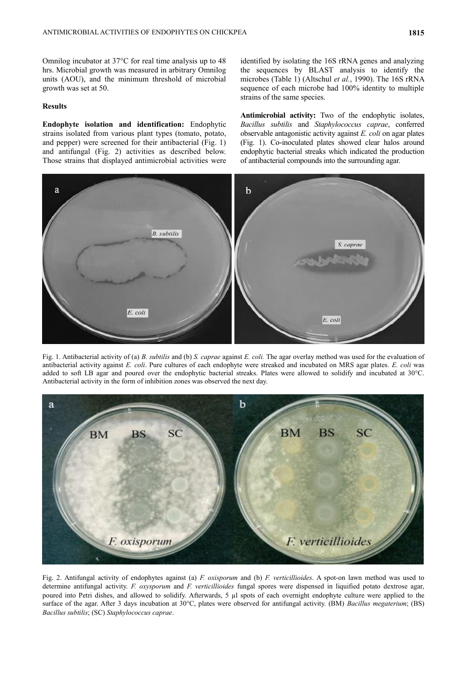Omnilog incubator at 37°C for real time analysis up to 48 hrs. Microbial growth was measured in arbitrary Omnilog units (AOU), and the minimum threshold of microbial growth was set at 50.

## **Results**

**Endophyte isolation and identification:** Endophytic strains isolated from various plant types (tomato, potato, and pepper) were screened for their antibacterial (Fig. 1) and antifungal (Fig. 2) activities as described below. Those strains that displayed antimicrobial activities were

identified by isolating the 16S rRNA genes and analyzing the sequences by BLAST analysis to identify the microbes (Table 1) (Altschul *et al.*, 1990). The 16S rRNA sequence of each microbe had 100% identity to multiple strains of the same species.

**Antimicrobial activity:** Two of the endophytic isolates, *Bacillus subtilis* and *Staphylococcus caprae*, conferred observable antagonistic activity against *E. coli* on agar plates (Fig. 1). Co-inoculated plates showed clear halos around endophytic bacterial streaks which indicated the production of antibacterial compounds into the surrounding agar.



Fig. 1. Antibacterial activity of (a) *B. subtilis* and (b) *S. caprae* against *E. coli.* The agar overlay method was used for the evaluation of antibacterial activity against *E. coli*. Pure cultures of each endophyte were streaked and incubated on MRS agar plates. *E. coli* was added to soft LB agar and poured over the endophytic bacterial streaks. Plates were allowed to solidify and incubated at 30°C. Antibacterial activity in the form of inhibition zones was observed the next day.



Fig. 2. Antifungal activity of endophytes against (a) *F. oxisporum* and (b) *F. verticillioides*. A spot-on lawn method was used to determine antifungal activity. *F. oxysporum* and *F. verticillioides* fungal spores were dispensed in liquified potato dextrose agar, poured into Petri dishes, and allowed to solidify. Afterwards, 5 µl spots of each overnight endophyte culture were applied to the surface of the agar. After 3 days incubation at 30°C, plates were observed for antifungal activity. (BM) *Bacillus megaterium*; (BS) *Bacillus subtilis*; (SC) *Staphylococcus caprae*.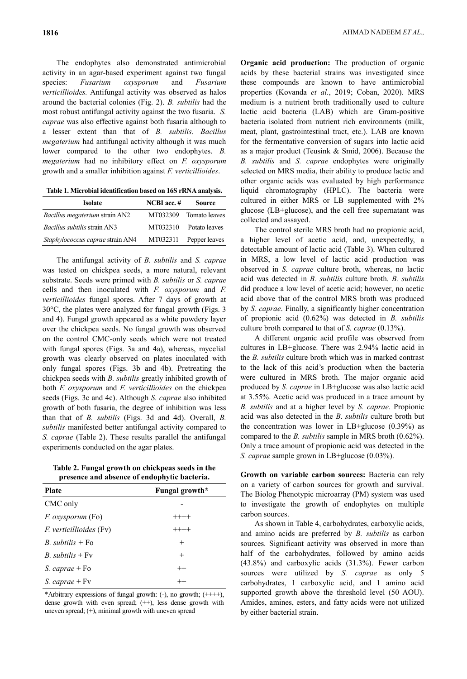The endophytes also demonstrated antimicrobial activity in an agar-based experiment against two fungal species: *Fusarium oxysporum* and *Fusarium verticillioides.* Antifungal activity was observed as halos around the bacterial colonies (Fig. 2). *B. subtilis* had the most robust antifungal activity against the two fusaria. *S. caprae* was also effective against both fusaria although to a lesser extent than that of *B. subtilis*. *Bacillus megaterium* had antifungal activity although it was much lower compared to the other two endophytes. *B. megaterium* had no inhibitory effect on *F. oxysporum*  growth and a smaller inhibition against *F. verticillioides*.

**Table 1. Microbial identification based on 16S rRNA analysis.**

| <b>Isolate</b>                          | $NCBI$ acc. # | <b>Source</b> |
|-----------------------------------------|---------------|---------------|
| Bacillus megaterium strain AN2          | MT032309      | Tomato leaves |
| <i>Bacillus subtilis strain AN3</i>     | MT032310      | Potato leaves |
| <i>Staphylococcus caprae</i> strain AN4 | MT032311      | Pepper leaves |

The antifungal activity of *B. subtilis* and *S. caprae* was tested on chickpea seeds, a more natural, relevant substrate. Seeds were primed with *B. subtilis* or *S. caprae* cells and then inoculated with *F. oxysporum* and *F. verticillioides* fungal spores. After 7 days of growth at 30°C, the plates were analyzed for fungal growth (Figs. 3 and 4). Fungal growth appeared as a white powdery layer over the chickpea seeds. No fungal growth was observed on the control CMC-only seeds which were not treated with fungal spores (Figs. 3a and 4a), whereas, mycelial growth was clearly observed on plates inoculated with only fungal spores (Figs. 3b and 4b). Pretreating the chickpea seeds with *B. subtilis* greatly inhibited growth of both *F. oxysporum* and *F. verticillioides* on the chickpea seeds (Figs. 3c and 4c). Although *S. caprae* also inhibited growth of both fusaria, the degree of inhibition was less than that of *B. subtilis* (Figs. 3d and 4d). Overall, *B. subtilis* manifested better antifungal activity compared to *S. caprae* (Table 2). These results parallel the antifungal experiments conducted on the agar plates.

**Table 2. Fungal growth on chickpeas seeds in the presence and absence of endophytic bacteria.**

| <b>Plate</b>                   | Fungal growth* |  |  |
|--------------------------------|----------------|--|--|
| CMC only                       |                |  |  |
| <i>F. oxysporum</i> (Fo)       | $++++$         |  |  |
| <i>F. verticillioides</i> (Fv) | $++++$         |  |  |
| <i>B.</i> subtilis $+$ Fo      | $^{+}$         |  |  |
| <i>B.</i> subtilis + $Fv$      | $^{+}$         |  |  |
| <i>S. caprae</i> $+$ Fo        | $++$           |  |  |
| <i>S.</i> caprae $+$ Fy        | $^{++}$        |  |  |

\*Arbitrary expressions of fungal growth:  $(-)$ , no growth;  $(++)$ , dense growth with even spread; (++), less dense growth with uneven spread; (+), minimal growth with uneven spread

**Organic acid production:** The production of organic acids by these bacterial strains was investigated since these compounds are known to have antimicrobial properties (Kovanda *et al.*, 2019; Coban, 2020). MRS medium is a nutrient broth traditionally used to culture lactic acid bacteria (LAB) which are Gram-positive bacteria isolated from nutrient rich environments (milk, meat, plant, gastrointestinal tract, etc.). LAB are known for the fermentative conversion of sugars into lactic acid as a major product (Teusink & Smid, 2006). Because the *B. subtilis* and *S. caprae* endophytes were originally selected on MRS media, their ability to produce lactic and other organic acids was evaluated by high performance liquid chromatography (HPLC). The bacteria were cultured in either MRS or LB supplemented with 2% glucose (LB+glucose), and the cell free supernatant was collected and assayed.

The control sterile MRS broth had no propionic acid, a higher level of acetic acid, and, unexpectedly, a detectable amount of lactic acid (Table 3). When cultured in MRS, a low level of lactic acid production was observed in *S. caprae* culture broth, whereas, no lactic acid was detected in *B. subtilis* culture broth. *B. subtilis* did produce a low level of acetic acid; however, no acetic acid above that of the control MRS broth was produced by *S. caprae*. Finally, a significantly higher concentration of propionic acid (0.62%) was detected in *B. subtilis* culture broth compared to that of *S. caprae* (0.13%).

A different organic acid profile was observed from cultures in LB+glucose. There was 2.94% lactic acid in the *B. subtilis* culture broth which was in marked contrast to the lack of this acid's production when the bacteria were cultured in MRS broth. The major organic acid produced by *S. caprae* in LB+glucose was also lactic acid at 3.55%. Acetic acid was produced in a trace amount by *B. subtilis* and at a higher level by *S. caprae*. Propionic acid was also detected in the *B. subtilis* culture broth but the concentration was lower in LB+glucose  $(0.39\%)$  as compared to the *B. subtilis* sample in MRS broth (0.62%). Only a trace amount of propionic acid was detected in the *S. caprae* sample grown in LB+glucose (0.03%).

**Growth on variable carbon sources:** Bacteria can rely on a variety of carbon sources for growth and survival. The Biolog Phenotypic microarray (PM) system was used to investigate the growth of endophytes on multiple carbon sources.

As shown in Table 4, carbohydrates, carboxylic acids, and amino acids are preferred by *B. subtilis* as carbon sources. Significant activity was observed in more than half of the carbohydrates, followed by amino acids (43.8%) and carboxylic acids (31.3%). Fewer carbon sources were utilized by *S. caprae* as only 5 carbohydrates, 1 carboxylic acid, and 1 amino acid supported growth above the threshold level (50 AOU). Amides, amines, esters, and fatty acids were not utilized by either bacterial strain.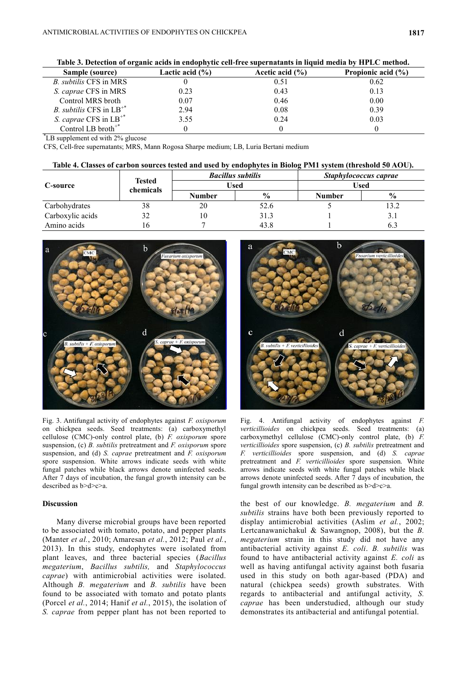| TWOTE BY D'ESERVION OF ORGANIC MELGO IN ENGLOPETY OF<br>--- - - - --- - -- - - |                     |                     |                    |  |
|--------------------------------------------------------------------------------|---------------------|---------------------|--------------------|--|
| Sample (source)                                                                | Lactic acid $(\% )$ | Acetic acid $(\% )$ | Propionic acid (%) |  |
| <i>B. subtilis</i> CFS in MRS                                                  |                     | 0.51                | 0.62               |  |
| <i>S. caprae</i> CFS in MRS                                                    | 0.23                | 0.43                | 0.13               |  |
| Control MRS broth                                                              | 0.07                | 0.46                | 0.00               |  |
| <i>B. subtilis</i> CFS in $LB^{**}$                                            | 2.94                | 0.08                | 0.39               |  |
| <i>S. caprae</i> CFS in $LB^{**}$                                              | 3.55                | 0.24                | 0.03               |  |
| Control LB broth <sup>+*</sup>                                                 |                     |                     |                    |  |

**Table 3. Detection of organic acids in endophytic cell-free supernatants in liquid media by HPLC method.**

\*LB supplement ed with 2% glucose

CFS, Cell-free supernatants; MRS, Mann Rogosa Sharpe medium; LB, Luria Bertani medium

| Table 4. Classes of carbon sources tested and used by endophytes in Biolog PM1 system (threshold 50 AOU). |  |
|-----------------------------------------------------------------------------------------------------------|--|
|-----------------------------------------------------------------------------------------------------------|--|

| C-source         |                            | <b>Bacillus subtilis</b><br>Used |               | Staphylococcus caprae |               |
|------------------|----------------------------|----------------------------------|---------------|-----------------------|---------------|
|                  | <b>Tested</b><br>chemicals |                                  |               | Used                  |               |
|                  |                            | <b>Number</b>                    | $\frac{6}{6}$ | <b>Number</b>         | $\frac{0}{0}$ |
| Carbohydrates    | 38                         | 20                               | 52.6          |                       | l 3.2         |
| Carboxylic acids | 32                         |                                  | 31.3          |                       | 3.            |
| Amino acids      | l b                        |                                  | 43.8          |                       | 6.3           |



Fig. 3. Antifungal activity of endophytes against *F. oxisporum* on chickpea seeds. Seed treatments: (a) carboxymethyl cellulose (CMC)-only control plate, (b) *F. oxisporum* spore suspension, (c) *B. subtilis* pretreatment and *F. oxisporum* spore suspension, and (d) *S. caprae* pretreatment and *F. oxisporum* spore suspension. White arrows indicate seeds with white fungal patches while black arrows denote uninfected seeds. After 7 days of incubation, the fungal growth intensity can be described as b>d>c>a.

## **Discussion**

Many diverse microbial groups have been reported to be associated with tomato, potato, and pepper plants (Manter *et al.*, 2010; Amaresan *et al.*, 2012; Paul *et al.*, 2013). In this study, endophytes were isolated from plant leaves, and three bacterial species (*Bacillus megaterium*, *Bacillus subtilis,* and *Staphylococcus caprae*) with antimicrobial activities were isolated. Although *B. megaterium* and *B. subtilis* have been found to be associated with tomato and potato plants (Porcel *et al.*, 2014; Hanif *et al.*, 2015), the isolation of *S. caprae* from pepper plant has not been reported to



Fig. 4. Antifungal activity of endophytes against *F. verticillioides* on chickpea seeds. Seed treatments: (a) carboxymethyl cellulose (CMC)-only control plate, (b) *F. verticillioides* spore suspension, (c) *B. subtilis* pretreatment and *F. verticillioides* spore suspension, and (d) *S. caprae* pretreatment and *F. verticillioides* spore suspension. White arrows indicate seeds with white fungal patches while black arrows denote uninfected seeds. After 7 days of incubation, the fungal growth intensity can be described as b>d>c>a.

the best of our knowledge. *B. megaterium* and *B. subtilis* strains have both been previously reported to display antimicrobial activities (Aslim *et al.*, 2002; Lertcanawanichakul & Sawangnop, 2008), but the *B. megaterium* strain in this study did not have any antibacterial activity against *E. coli*. *B. subtilis* was found to have antibacterial activity against *E. coli* as well as having antifungal activity against both fusaria used in this study on both agar-based (PDA) and natural (chickpea seeds) growth substrates. With regards to antibacterial and antifungal activity, *S. caprae* has been understudied, although our study demonstrates its antibacterial and antifungal potential.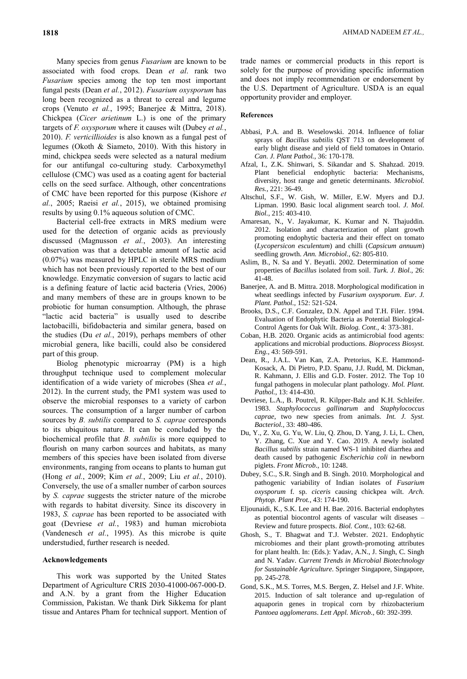Many species from genus *Fusarium* are known to be associated with food crops. Dean *et al*. rank two *Fusarium* species among the top ten most important fungal pests (Dean *et al.*, 2012). *Fusarium oxysporum* has long been recognized as a threat to cereal and legume crops (Venuto *et al.*, 1995; Banerjee & Mittra, 2018). Chickpea (*Cicer arietinum* L.) is one of the primary targets of *F. oxysporum* where it causes wilt (Dubey *et al.*, 2010). *F. verticillioides* is also known as a fungal pest of legumes (Okoth & Siameto, 2010). With this history in mind, chickpea seeds were selected as a natural medium for our antifungal co-culturing study. Carboxymethyl cellulose (CMC) was used as a coating agent for bacterial cells on the seed surface. Although, other concentrations of CMC have been reported for this purpose (Kishore *et al.*, 2005; Raeisi *et al.*, 2015), we obtained promising results by using 0.1% aqueous solution of CMC.

Bacterial cell-free extracts in MRS medium were used for the detection of organic acids as previously discussed (Magnusson *et al.*, 2003). An interesting observation was that a detectable amount of lactic acid (0.07%) was measured by HPLC in sterile MRS medium which has not been previously reported to the best of our knowledge. Enzymatic conversion of sugars to lactic acid is a defining feature of lactic acid bacteria (Vries, 2006) and many members of these are in groups known to be probiotic for human consumption. Although, the phrase "lactic acid bacteria" is usually used to describe lactobacilli, bifidobacteria and similar genera, based on the studies (Du *et al.*, 2019), perhaps members of other microbial genera, like bacilli, could also be considered part of this group.

Biolog phenotypic microarray (PM) is a high throughput technique used to complement molecular identification of a wide variety of microbes (Shea *et al.*, 2012). In the current study, the PM1 system was used to observe the microbial responses to a variety of carbon sources. The consumption of a larger number of carbon sources by *B. subtilis* compared to *S. caprae* corresponds to its ubiquitous nature. It can be concluded by the biochemical profile that *B. subtilis* is more equipped to flourish on many carbon sources and habitats, as many members of this species have been isolated from diverse environments, ranging from oceans to plants to human gut (Hong *et al.*, 2009; Kim *et al.*, 2009; Liu *et al.*, 2010). Conversely, the use of a smaller number of carbon sources by *S. caprae* suggests the stricter nature of the microbe with regards to habitat diversity. Since its discovery in 1983, *S. caprae* has been reported to be associated with goat (Devriese *et al.*, 1983) and human microbiota (Vandenesch *et al.*, 1995). As this microbe is quite understudied, further research is needed.

#### **Acknowledgements**

This work was supported by the United States Department of Agriculture CRIS 2030-41000-067-000-D. and A.N. by a grant from the Higher Education Commission, Pakistan. We thank Dirk Sikkema for plant tissue and Antares Pham for technical support. Mention of trade names or commercial products in this report is solely for the purpose of providing specific information and does not imply recommendation or endorsement by the U.S. Department of Agriculture. USDA is an equal opportunity provider and employer.

#### **References**

- Abbasi, P.A. and B. Weselowski. 2014. Influence of foliar sprays of *Bacillus subtilis* QST 713 on development of early blight disease and yield of field tomatoes in Ontario. *Can. J. Plant Pathol.,* 36: 170-178.
- Afzal, I., Z.K. Shinwari, S. Sikandar and S. Shahzad. 2019. Plant beneficial endophytic bacteria: Mechanisms, diversity, host range and genetic determinants. *Microbiol. Res.,* 221: 36-49.
- Altschul, S.F., W. Gish, W. Miller, E.W. Myers and D.J. Lipman. 1990. Basic local alignment search tool. *J. Mol. Biol.*, 215: 403-410.
- Amaresan, N., V. Jayakumar, K. Kumar and N. Thajuddin. 2012. Isolation and characterization of plant growth promoting endophytic bacteria and their effect on tomato (*Lycopersicon esculentum*) and chilli (*Capsicum annuum*) seedling growth. *Ann. Microbiol.*, 62: 805-810.
- Aslim, B., N. Sa and Y. Beyatli. 2002. Determination of some properties of *Bacillus* isolated from soil. *Turk. J. Biol.*, 26: 41-48.
- Banerjee, A. and B. Mittra. 2018. Morphological modification in wheat seedlings infected by *Fusarium oxysporum*. *Eur. J. Plant. Pathol.,* 152: 521-524.
- Brooks, D.S., C.F. Gonzalez, D.N. Appel and T.H. Filer. 1994. Evaluation of Endophytic Bacteria as Potential Biological-Control Agents for Oak Wilt. *Biolog. Cont.,* 4: 373-381.
- Coban, H.B. 2020. Organic acids as antimicrobial food agents: applications and microbial productions. *Bioprocess Biosyst. Eng.*, 43: 569-591.
- Dean, R., J.A.L. Van Kan, Z.A. Pretorius, K.E. Hammond-Kosack, A. Di Pietro, P.D. Spanu, J.J. Rudd, M. Dickman, R. Kahmann, J. Ellis and G.D. Foster. 2012. The Top 10 fungal pathogens in molecular plant pathology. *Mol. Plant. Pathol.*, 13: 414-430.
- Devriese, L.A., B. Poutrel, R. Kilpper-Balz and K.H. Schleifer. 1983. *Staphylococcus gallinarum* and *Staphylococcus caprae*, two new species from animals. *Int. J. Syst. Bacteriol.*, 33: 480-486.
- Du, Y., Z. Xu, G. Yu, W. Liu, Q. Zhou, D. Yang, J. Li, L. Chen, Y. Zhang, C. Xue and Y. Cao. 2019. A newly isolated *Bacillus subtilis* strain named WS-1 inhibited diarrhea and death caused by pathogenic *Escherichia coli* in newborn piglets. *Front Microb.*, 10: 1248.
- Dubey, S.C., S.R. Singh and B. Singh. 2010. Morphological and pathogenic variability of Indian isolates of *Fusarium oxysporum* f. sp. *ciceris* causing chickpea wilt. *Arch. Phytop. Plant Prot.*, 43: 174-190.
- Eljounaidi, K., S.K. Lee and H. Bae. 2016. Bacterial endophytes as potential biocontrol agents of vascular wilt diseases – Review and future prospects. *Biol. Cont.*, 103: 62-68.
- Ghosh, S., T. Bhagwat and T.J. Webster. 2021. Endophytic microbiomes and their plant growth-promoting attributes for plant health. In: (Eds.): Yadav, A.N., J. Singh, C. Singh and N. Yadav. *Current Trends in Microbial Biotechnology for Sustainable Agriculture*. Springer Singapore, Singapore, pp. 245-278.
- Gond, S.K., M.S. Torres, M.S. Bergen, Z. Helsel and J.F. White. 2015. Induction of salt tolerance and up-regulation of aquaporin genes in tropical corn by rhizobacterium *Pantoea agglomerans*. *Lett Appl. Microb.*, 60: 392-399.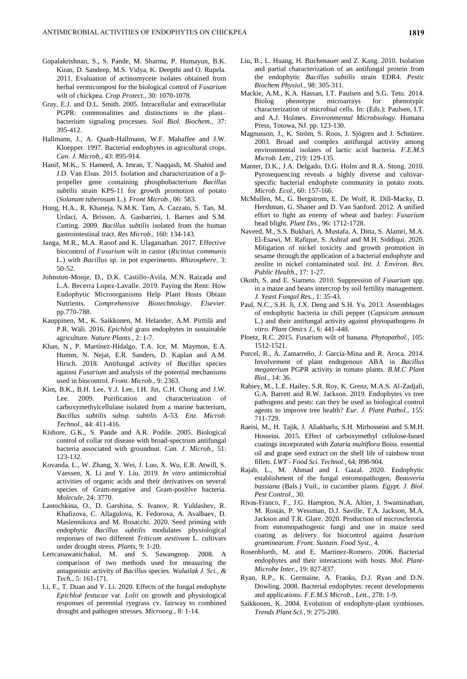- Gopalakrishnan, S., S. Pande, M. Sharma, P. Humayun, B.K. Kiran, D. Sandeep, M.S. Vidya, K. Deepthi and O. Rupela. 2011. Evaluation of actinomycete isolates obtained from herbal vermicompost for the biological control of *Fusarium* wilt of chickpea. *Crop Protect.*, 30: 1070-1078.
- Gray, E.J. and D.L. Smith. 2005. Intracellular and extracellular PGPR: commonalities and distinctions in the plant– bacterium signaling processes. *Soil Biol. Biochem.,* 37: 395-412.
- Hallmann, J., A. Quadt-Hallmann, W.F. Mahaffee and J.W. Kloepper. 1997. Bacterial endophytes in agricultural crops. *Can. J. Microb.*, 43: 895-914.
- Hanif, M.K., S. Hameed, A. Imran, T. Naqqash, M. Shahid and J.D. Van Elsas. 2015. Isolation and characterization of a βpropeller gene containing phosphobacterium *Bacillus subtilis* strain KPS-11 for growth promotion of potato (*Solanum tuberosum* L.). *Front Microb.*, 06: 583.
- Hong, H.A., R. Khaneja, N.M.K. Tam, A. Cazzato, S. Tan, M. Urdaci, A. Brisson, A. Gasbarrini, I. Barnes and S.M. Cutting. 2009. *Bacillus subtilis* isolated from the human gastrointestinal tract. *Res Microb.*, 160: 134-143.
- Janga, M.R., M.A. Raoof and K. Ulaganathan. 2017. Effective biocontrol of *Fusarium* wilt in castor (*Ricinius communis* L.) with *Bacillus* sp. in pot experiments. *Rhizosphere*, 3: 50-52.
- Johnston-Monje, D., D.K. Castillo-Avila, M.N. Raizada and L.A. Becerra Lopez-Lavalle. 2019. Paying the Rent: How Endophytic Microorganisms Help Plant Hosts Obtain Nutrients. *Comprehensive Biotechnology*. *Elsevier*. pp.770-788.
- Kauppinen, M., K. Saikkonen, M. Helander, A.M. Pirttilä and P.R. Wäli. 2016. *Epichloë* grass endophytes in sustainable agriculture. *Nature Plants.,* 2: 1-7.
- Khan, N., P. Martínez-Hidalgo, T.A. Ice, M. Maymon, E.A. Humm, N. Nejat, E.R. Sanders, D. Kaplan and A.M. Hirsch. 2018. Antifungal activity of *Bacillus* species against *Fusarium* and analysis of the potential mechanisms used in biocontrol. *Front. Microb.,* 9: 2363.
- Kim, B.K., B.H. Lee, Y.J. Lee, I.H. Jin, C.H. Chung and J.W. Lee. 2009. Purification and characterization of carboxymethylcellulase isolated from a marine bacterium, *Bacillus subtilis* subsp. *subtilis* A-53. *Enz. Microb. Technol.*, 44: 411-416.
- Kishore, G.K., S. Pande and A.R. Podile. 2005. Biological control of collar rot disease with broad-spectrum antifungal bacteria associated with groundnut. *Can. J. Microb.,* 51: 123-132.
- Kovanda, L., W. Zhang, X. Wei, J. Luo, X. Wu, E.R. Atwill, S. Vaessen, X. Li and Y. Liu. 2019. *In vitro* antimicrobial activities of organic acids and their derivatives on several species of Gram-negative and Gram-positive bacteria. *Molecule,* 24: 3770.
- Lastochkina, O., D. Garshina, S. Ivanov, R. Yuldashev, R. Khafizova, C. Allagulova, K. Fedorova, A. Avalbaev, D. Maslennikova and M. Bosacchi. 2020. Seed priming with endophytic *Bacillus subtilis* modulates physiological responses of two different *Triticum aestivum* L. cultivars under drought stress. *Plants*, 9: 1-20.
- Lertcanawanichakul, M. and S. Sawangnop. 2008. A comparison of two methods used for measuring the antagonistic activity of *Bacillus* species. *Walailak J. Sci., & Tech.,* 5: 161-171.
- Li, F., T. Duan and Y. Li. 2020. Effects of the fungal endophyte *Epichloë festucae* var. *Lolii* on growth and physiological responses of perennial ryegrass cv. fairway to combined drought and pathogen stresses. *Microorg*., 8: 1-14.
- Liu, B., L. Huang, H. Buchenauer and Z. Kang. 2010. Isolation and partial characterization of an antifungal protein from the endophytic *Bacillus subtilis* strain EDR4. *Pestic Biochem Physiol.,* 98: 305-311.
- Mackie, A.M., K.A. Hassan, I.T. Paulsen and S.G. Tetu. 2014. Biolog phenotype microarrays for phenotypic characterization of microbial cells. In: (Eds.): Paulsen, I.T. and A.J. Holmes. *Environmental Microbiology*. Humana Press, Totowa, NJ. pp. 123-130.
- Magnusson, J., K. Ström, S. Roos, J. Sjögren and J. Schnürer. 2003. Broad and complex antifungal activity among environmental isolates of lactic acid bacteria. *F.E.M.S Microb. Lett.*, 219: 129-135.
- Manter, D.K., J.A. Delgado, D.G. Holm and R.A. Stong. 2010. Pyrosequencing reveals a highly diverse and cultivarspecific bacterial endophyte community in potato roots. *Microb. Ecol.,* 60: 157-166.
- McMullen, M., G. Bergstrom, E. De Wolf, R. Dill-Macky, D. Hershman, G. Shaner and D. Van Sanford. 2012. A unified effort to fight an enemy of wheat and barley: *Fusarium* head blight. *Plant Dis.,* 96: 1712-1728.
- Naveed, M., S.S. Bukhari, A. Mustafa, A. Ditta, S. Alamri, M.A. El-Esawi, M. Rafique, S. Ashraf and M.H. Siddiqui. 2020. Mitigation of nickel toxicity and growth promotion in sesame through the application of a bacterial endophyte and zeolite in nickel contaminated soil. *Int. J. Environ. Res. Public Health.*, 17: 1-27.
- Okoth, S. and E. Siameto. 2010. Suppression of *Fusarium* spp. in a maize and beans intercrop by soil fertility management. *J. Yeast Fungal Res.*, 1: 35-43.
- Paul, N.C., S.H. Ji, J.X. Deng and S.H. Yu. 2013. Assemblages of endophytic bacteria in chili pepper (*Capsicum annuum* L.) and their antifungal activity against phytopathogens *In vitro*. *Plant Omics J.,* 6: 441-448.
- Ploetz, R.C. 2015. Fusarium wilt of banana. *Phytopathol.,* 105: 1512-1521.
- Porcel, R., Á. Zamarreño, J. García-Mina and R. Aroca. 2014. Involvement of plant endogenous ABA in *Bacillus megaterium* PGPR activity in tomato plants. *B.M.C Plant Biol.*, 14: 36.
- Rabiey, M., L.E. Hailey, S.R. Roy, K. Grenz, M.A.S. Al-Zadjali, G.A. Barrett and R.W. Jackson. 2019. Endophytes vs tree pathogens and pests: can they be used as biological control agents to improve tree health? *Eur. J. Plant Pathol.,* 155: 711-729.
- Raeisi, M., H. Tajik, J. Aliakbarlu, S.H. Mirhosseini and S.M.H. Hosseini. 2015. Effect of carboxymethyl cellulose-based coatings incorporated with *Zataria multiflora* Boiss. essential oil and grape seed extract on the shelf life of rainbow trout fillets. *LWT - Food Sci. Technol.*, 64: 898-904.
- Rajab, L., M. Ahmad and I. Gazal. 2020. Endophytic establishment of the fungal entomopathogen, *Beauveria bassiana* (Bals.) Vuil., in cucumber plants. *Egypt. J. Biol. Pest Control.,* 30.
- Rivas-Franco, F., J.G. Hampton, N.A. Altier, J. Swaminathan, M. Rostás, P. Wessman, D.J. Saville, T.A. Jackson, M.A. Jackson and T.R. Glare. 2020. Production of microsclerotia from entomopathogenic fungi and use in maize seed coating as delivery for biocontrol against *fusarium graminearum*. *Front. Sustain. Food Syst.*, 4.
- Rosenblueth, M. and E. Martínez-Romero. 2006. Bacterial endophytes and their interactions with hosts. *Mol. Plant-Microbe Inter.*, 19: 827-837.
- Ryan, R.P., K. Germaine, A. Franks, D.J. Ryan and D.N. Dowling. 2008. Bacterial endophytes: recent developments and applications. *F.E.M.S Microb.*, *Lett.*, 278: 1-9.
- Saikkonen, K. 2004. Evolution of endophyte-plant symbioses. *Trends Plant Sci.*, 9: 275-280.